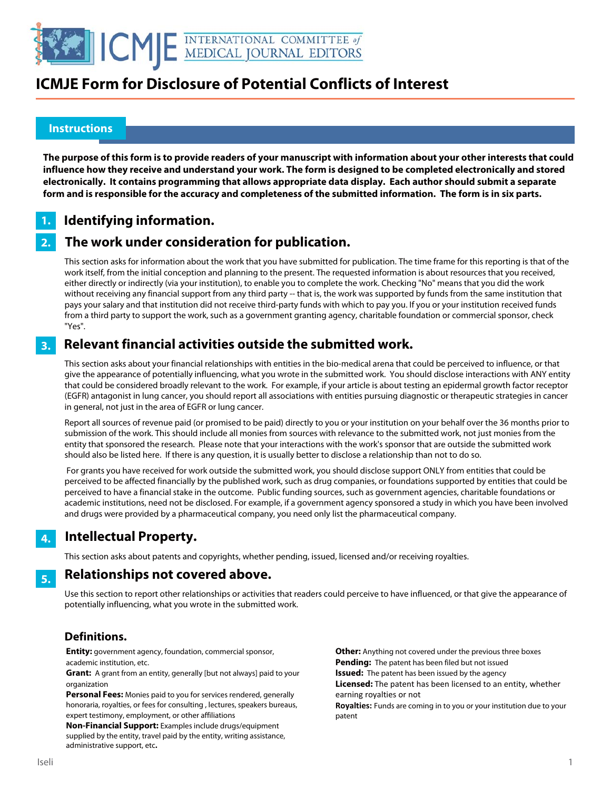

### **Instructions**

l

**The purpose of this form is to provide readers of your manuscript with information about your other interests that could influence how they receive and understand your work. The form is designed to be completed electronically and stored electronically. It contains programming that allows appropriate data display. Each author should submit a separate form and is responsible for the accuracy and completeness of the submitted information. The form is in six parts.** 

#### **Identifying information. 1.**

#### **The work under consideration for publication. 2.**

This section asks for information about the work that you have submitted for publication. The time frame for this reporting is that of the work itself, from the initial conception and planning to the present. The requested information is about resources that you received, either directly or indirectly (via your institution), to enable you to complete the work. Checking "No" means that you did the work without receiving any financial support from any third party -- that is, the work was supported by funds from the same institution that pays your salary and that institution did not receive third-party funds with which to pay you. If you or your institution received funds from a third party to support the work, such as a government granting agency, charitable foundation or commercial sponsor, check "Yes".

#### **Relevant financial activities outside the submitted work. 3.**

This section asks about your financial relationships with entities in the bio-medical arena that could be perceived to influence, or that give the appearance of potentially influencing, what you wrote in the submitted work. You should disclose interactions with ANY entity that could be considered broadly relevant to the work. For example, if your article is about testing an epidermal growth factor receptor (EGFR) antagonist in lung cancer, you should report all associations with entities pursuing diagnostic or therapeutic strategies in cancer in general, not just in the area of EGFR or lung cancer.

Report all sources of revenue paid (or promised to be paid) directly to you or your institution on your behalf over the 36 months prior to submission of the work. This should include all monies from sources with relevance to the submitted work, not just monies from the entity that sponsored the research. Please note that your interactions with the work's sponsor that are outside the submitted work should also be listed here. If there is any question, it is usually better to disclose a relationship than not to do so.

 For grants you have received for work outside the submitted work, you should disclose support ONLY from entities that could be perceived to be affected financially by the published work, such as drug companies, or foundations supported by entities that could be perceived to have a financial stake in the outcome. Public funding sources, such as government agencies, charitable foundations or academic institutions, need not be disclosed. For example, if a government agency sponsored a study in which you have been involved and drugs were provided by a pharmaceutical company, you need only list the pharmaceutical company.

### **Intellectual Property. 4.**

This section asks about patents and copyrights, whether pending, issued, licensed and/or receiving royalties.

#### **Relationships not covered above. 5.**

Use this section to report other relationships or activities that readers could perceive to have influenced, or that give the appearance of potentially influencing, what you wrote in the submitted work.

### **Definitions.**

**Entity:** government agency, foundation, commercial sponsor, academic institution, etc.

**Grant:** A grant from an entity, generally [but not always] paid to your organization

**Personal Fees:** Monies paid to you for services rendered, generally honoraria, royalties, or fees for consulting , lectures, speakers bureaus, expert testimony, employment, or other affiliations

**Non-Financial Support:** Examples include drugs/equipment supplied by the entity, travel paid by the entity, writing assistance, administrative support, etc**.**

**Other:** Anything not covered under the previous three boxes **Pending:** The patent has been filed but not issued **Issued:** The patent has been issued by the agency **Licensed:** The patent has been licensed to an entity, whether earning royalties or not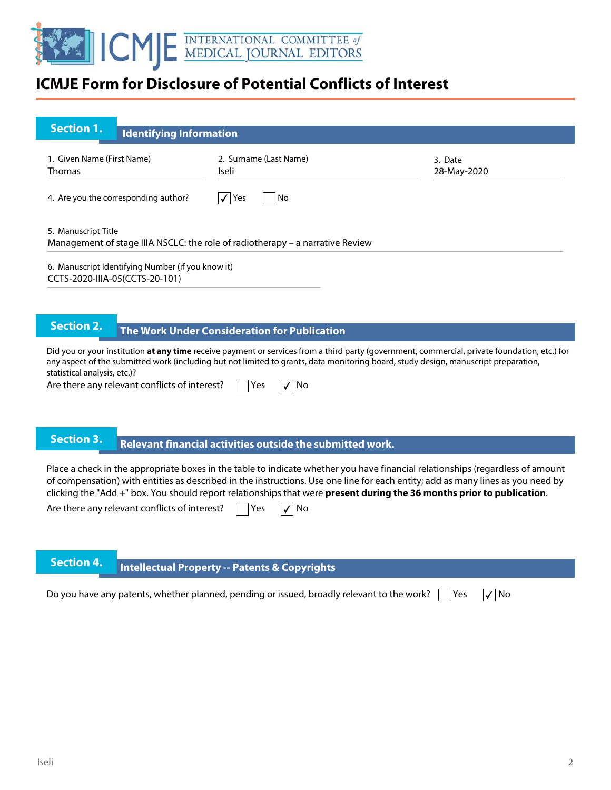

| <b>Section 1.</b><br><b>Identifying Information</b>                                                                                                                                                                                                                                                                  |                                                                                                                                                                                                                                                                                                                                                                                             |                        |  |  |  |  |  |
|----------------------------------------------------------------------------------------------------------------------------------------------------------------------------------------------------------------------------------------------------------------------------------------------------------------------|---------------------------------------------------------------------------------------------------------------------------------------------------------------------------------------------------------------------------------------------------------------------------------------------------------------------------------------------------------------------------------------------|------------------------|--|--|--|--|--|
| 1. Given Name (First Name)<br><b>Thomas</b>                                                                                                                                                                                                                                                                          | 2. Surname (Last Name)<br>Iseli                                                                                                                                                                                                                                                                                                                                                             | 3. Date<br>28-May-2020 |  |  |  |  |  |
| 4. Are you the corresponding author?                                                                                                                                                                                                                                                                                 | $\sqrt{\vert$ Yes<br>No                                                                                                                                                                                                                                                                                                                                                                     |                        |  |  |  |  |  |
| 5. Manuscript Title                                                                                                                                                                                                                                                                                                  | Management of stage IIIA NSCLC: the role of radiotherapy - a narrative Review                                                                                                                                                                                                                                                                                                               |                        |  |  |  |  |  |
| 6. Manuscript Identifying Number (if you know it)<br>CCTS-2020-IIIA-05(CCTS-20-101)                                                                                                                                                                                                                                  |                                                                                                                                                                                                                                                                                                                                                                                             |                        |  |  |  |  |  |
|                                                                                                                                                                                                                                                                                                                      |                                                                                                                                                                                                                                                                                                                                                                                             |                        |  |  |  |  |  |
| <b>Section 2.</b>                                                                                                                                                                                                                                                                                                    | The Work Under Consideration for Publication                                                                                                                                                                                                                                                                                                                                                |                        |  |  |  |  |  |
| Did you or your institution at any time receive payment or services from a third party (government, commercial, private foundation, etc.) for<br>any aspect of the submitted work (including but not limited to grants, data monitoring board, study design, manuscript preparation,<br>statistical analysis, etc.)? |                                                                                                                                                                                                                                                                                                                                                                                             |                        |  |  |  |  |  |
| Are there any relevant conflicts of interest?                                                                                                                                                                                                                                                                        | No<br>Yes                                                                                                                                                                                                                                                                                                                                                                                   |                        |  |  |  |  |  |
| <b>Section 3.</b>                                                                                                                                                                                                                                                                                                    |                                                                                                                                                                                                                                                                                                                                                                                             |                        |  |  |  |  |  |
|                                                                                                                                                                                                                                                                                                                      | Relevant financial activities outside the submitted work.                                                                                                                                                                                                                                                                                                                                   |                        |  |  |  |  |  |
|                                                                                                                                                                                                                                                                                                                      | Place a check in the appropriate boxes in the table to indicate whether you have financial relationships (regardless of amount<br>of compensation) with entities as described in the instructions. Use one line for each entity; add as many lines as you need by<br>clicking the "Add +" box. You should report relationships that were present during the 36 months prior to publication. |                        |  |  |  |  |  |
| Are there any relevant conflicts of interest?                                                                                                                                                                                                                                                                        | No<br>Yes                                                                                                                                                                                                                                                                                                                                                                                   |                        |  |  |  |  |  |
|                                                                                                                                                                                                                                                                                                                      |                                                                                                                                                                                                                                                                                                                                                                                             |                        |  |  |  |  |  |

**Intellectual Property -- Patents & Copyrights** 

Do you have any patents, whether planned, pending or issued, broadly relevant to the work?  $\Box$  Yes  $\Box$  No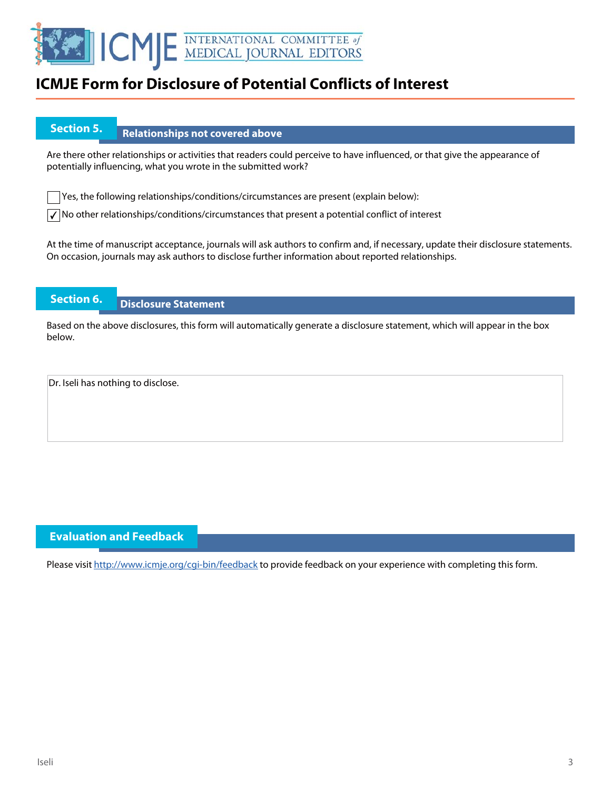

## **Section 5.** Relationships not covered above

Are there other relationships or activities that readers could perceive to have influenced, or that give the appearance of potentially influencing, what you wrote in the submitted work?

Yes, the following relationships/conditions/circumstances are present (explain below):

 $\sqrt{\ }$  No other relationships/conditions/circumstances that present a potential conflict of interest

At the time of manuscript acceptance, journals will ask authors to confirm and, if necessary, update their disclosure statements. On occasion, journals may ask authors to disclose further information about reported relationships.

### **Section 6. Disclosure Statement**

Based on the above disclosures, this form will automatically generate a disclosure statement, which will appear in the box below.

Dr. Iseli has nothing to disclose.

### **Evaluation and Feedback**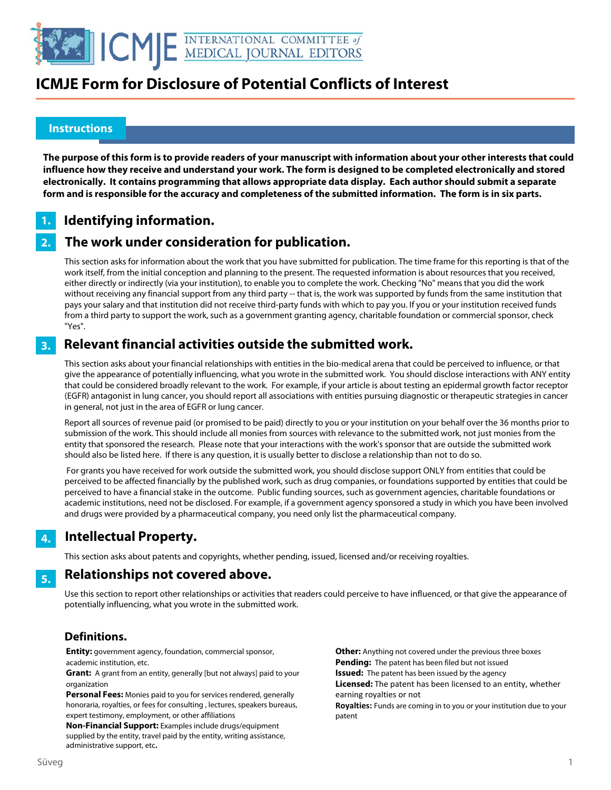

### **Instructions**

l

**The purpose of this form is to provide readers of your manuscript with information about your other interests that could influence how they receive and understand your work. The form is designed to be completed electronically and stored electronically. It contains programming that allows appropriate data display. Each author should submit a separate form and is responsible for the accuracy and completeness of the submitted information. The form is in six parts.** 

#### **Identifying information. 1.**

#### **The work under consideration for publication. 2.**

This section asks for information about the work that you have submitted for publication. The time frame for this reporting is that of the work itself, from the initial conception and planning to the present. The requested information is about resources that you received, either directly or indirectly (via your institution), to enable you to complete the work. Checking "No" means that you did the work without receiving any financial support from any third party -- that is, the work was supported by funds from the same institution that pays your salary and that institution did not receive third-party funds with which to pay you. If you or your institution received funds from a third party to support the work, such as a government granting agency, charitable foundation or commercial sponsor, check "Yes".

#### **Relevant financial activities outside the submitted work. 3.**

This section asks about your financial relationships with entities in the bio-medical arena that could be perceived to influence, or that give the appearance of potentially influencing, what you wrote in the submitted work. You should disclose interactions with ANY entity that could be considered broadly relevant to the work. For example, if your article is about testing an epidermal growth factor receptor (EGFR) antagonist in lung cancer, you should report all associations with entities pursuing diagnostic or therapeutic strategies in cancer in general, not just in the area of EGFR or lung cancer.

Report all sources of revenue paid (or promised to be paid) directly to you or your institution on your behalf over the 36 months prior to submission of the work. This should include all monies from sources with relevance to the submitted work, not just monies from the entity that sponsored the research. Please note that your interactions with the work's sponsor that are outside the submitted work should also be listed here. If there is any question, it is usually better to disclose a relationship than not to do so.

 For grants you have received for work outside the submitted work, you should disclose support ONLY from entities that could be perceived to be affected financially by the published work, such as drug companies, or foundations supported by entities that could be perceived to have a financial stake in the outcome. Public funding sources, such as government agencies, charitable foundations or academic institutions, need not be disclosed. For example, if a government agency sponsored a study in which you have been involved and drugs were provided by a pharmaceutical company, you need only list the pharmaceutical company.

#### **Intellectual Property. 4.**

This section asks about patents and copyrights, whether pending, issued, licensed and/or receiving royalties.

#### **Relationships not covered above. 5.**

Use this section to report other relationships or activities that readers could perceive to have influenced, or that give the appearance of potentially influencing, what you wrote in the submitted work.

### **Definitions.**

**Entity:** government agency, foundation, commercial sponsor, academic institution, etc.

**Grant:** A grant from an entity, generally [but not always] paid to your organization

**Personal Fees:** Monies paid to you for services rendered, generally honoraria, royalties, or fees for consulting , lectures, speakers bureaus, expert testimony, employment, or other affiliations

**Non-Financial Support:** Examples include drugs/equipment supplied by the entity, travel paid by the entity, writing assistance, administrative support, etc**.**

**Other:** Anything not covered under the previous three boxes **Pending:** The patent has been filed but not issued **Issued:** The patent has been issued by the agency **Licensed:** The patent has been licensed to an entity, whether earning royalties or not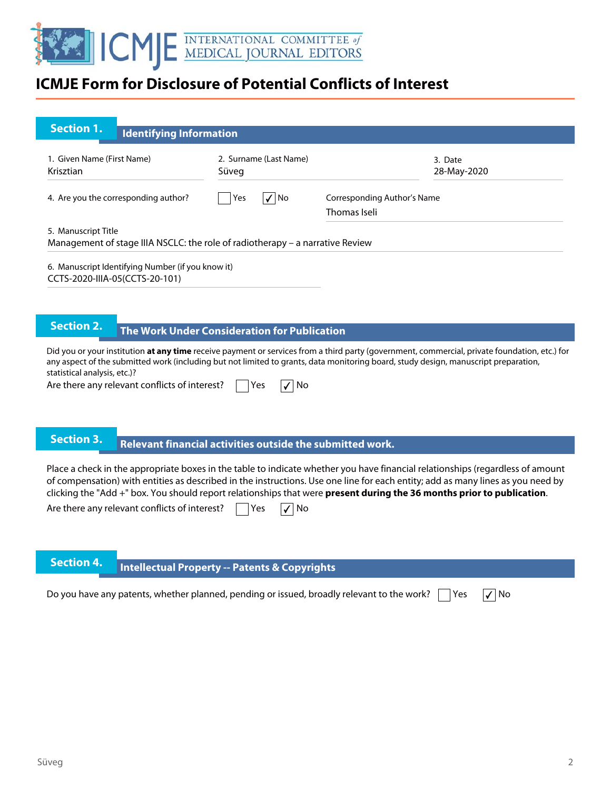

| <b>Section 1.</b><br><b>Identifying Information</b>                                                                                                                                                                                                                                                                                                                                                                                          |                                                           |                                             |                        |
|----------------------------------------------------------------------------------------------------------------------------------------------------------------------------------------------------------------------------------------------------------------------------------------------------------------------------------------------------------------------------------------------------------------------------------------------|-----------------------------------------------------------|---------------------------------------------|------------------------|
| 1. Given Name (First Name)<br>Krisztian                                                                                                                                                                                                                                                                                                                                                                                                      | 2. Surname (Last Name)<br>Süveg                           |                                             | 3. Date<br>28-May-2020 |
| 4. Are you the corresponding author?                                                                                                                                                                                                                                                                                                                                                                                                         | $\sqrt{ N_0 }$<br>Yes                                     | Corresponding Author's Name<br>Thomas Iseli |                        |
| 5. Manuscript Title<br>Management of stage IIIA NSCLC: the role of radiotherapy - a narrative Review                                                                                                                                                                                                                                                                                                                                         |                                                           |                                             |                        |
| 6. Manuscript Identifying Number (if you know it)<br>CCTS-2020-IIIA-05(CCTS-20-101)                                                                                                                                                                                                                                                                                                                                                          |                                                           |                                             |                        |
|                                                                                                                                                                                                                                                                                                                                                                                                                                              |                                                           |                                             |                        |
| <b>Section 2.</b>                                                                                                                                                                                                                                                                                                                                                                                                                            | The Work Under Consideration for Publication              |                                             |                        |
| Did you or your institution at any time receive payment or services from a third party (government, commercial, private foundation, etc.) for<br>any aspect of the submitted work (including but not limited to grants, data monitoring board, study design, manuscript preparation,<br>statistical analysis, etc.)?<br>Are there any relevant conflicts of interest?                                                                        | $\sqrt{ }$ No<br>Yes                                      |                                             |                        |
| <b>Section 3.</b>                                                                                                                                                                                                                                                                                                                                                                                                                            |                                                           |                                             |                        |
|                                                                                                                                                                                                                                                                                                                                                                                                                                              | Relevant financial activities outside the submitted work. |                                             |                        |
| Place a check in the appropriate boxes in the table to indicate whether you have financial relationships (regardless of amount<br>of compensation) with entities as described in the instructions. Use one line for each entity; add as many lines as you need by<br>clicking the "Add +" box. You should report relationships that were present during the 36 months prior to publication.<br>Are there any relevant conflicts of interest? | Yes<br>No                                                 |                                             |                        |

# **Intellectual Property -- Patents & Copyrights**

| Do you have any patents, whether planned, pending or issued, broadly relevant to the work? $\Box$ Yes $\Box$ No |  |
|-----------------------------------------------------------------------------------------------------------------|--|
|                                                                                                                 |  |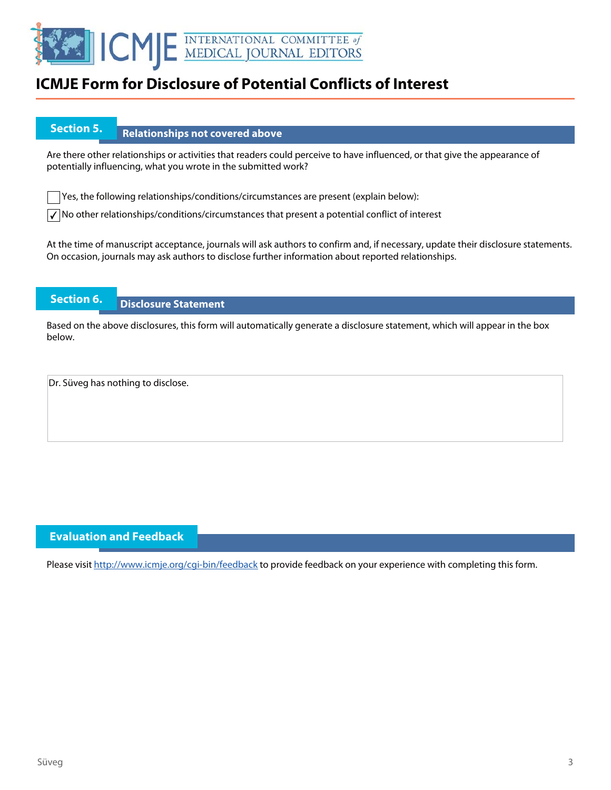

## **Section 5.** Relationships not covered above

Are there other relationships or activities that readers could perceive to have influenced, or that give the appearance of potentially influencing, what you wrote in the submitted work?

Yes, the following relationships/conditions/circumstances are present (explain below):

 $\sqrt{\ }$  No other relationships/conditions/circumstances that present a potential conflict of interest

At the time of manuscript acceptance, journals will ask authors to confirm and, if necessary, update their disclosure statements. On occasion, journals may ask authors to disclose further information about reported relationships.

### **Section 6. Disclosure Statement**

Based on the above disclosures, this form will automatically generate a disclosure statement, which will appear in the box below.

Dr. Süveg has nothing to disclose.

### **Evaluation and Feedback**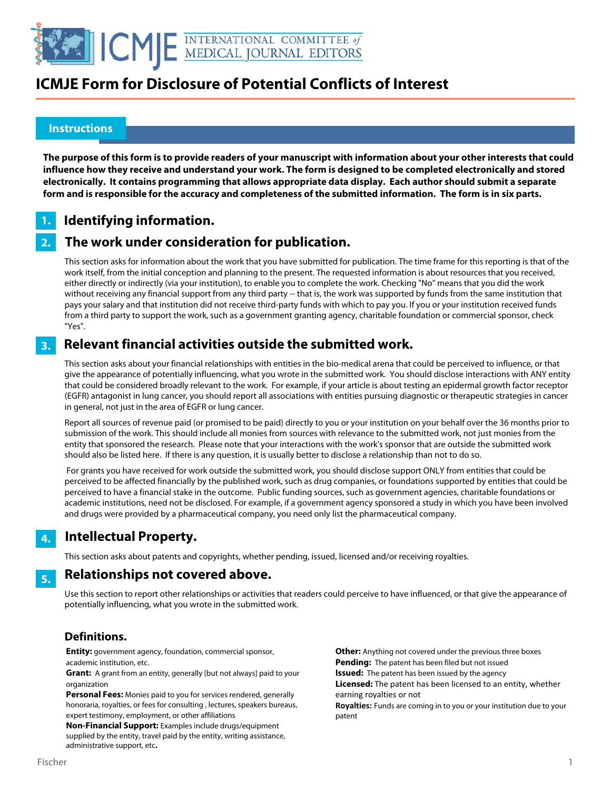

### **Instructions**

l

**The purpose of this form is to provide readers of your manuscript with information about your other interests that could influence how they receive and understand your work. The form is designed to be completed electronically and stored electronically. It contains programming that allows appropriate data display. Each author should submit a separate form and is responsible for the accuracy and completeness of the submitted information. The form is in six parts.** 

#### **Identifying information. 1.**

#### **The work under consideration for publication. 2.**

This section asks for information about the work that you have submitted for publication. The time frame for this reporting is that of the work itself, from the initial conception and planning to the present. The requested information is about resources that you received, either directly or indirectly (via your institution), to enable you to complete the work. Checking "No" means that you did the work without receiving any financial support from any third party -- that is, the work was supported by funds from the same institution that pays your salary and that institution did not receive third-party funds with which to pay you. If you or your institution received funds from a third party to support the work, such as a government granting agency, charitable foundation or commercial sponsor, check "Yes".

#### **Relevant financial activities outside the submitted work. 3.**

This section asks about your financial relationships with entities in the bio-medical arena that could be perceived to influence, or that give the appearance of potentially influencing, what you wrote in the submitted work. You should disclose interactions with ANY entity that could be considered broadly relevant to the work. For example, if your article is about testing an epidermal growth factor receptor (EGFR) antagonist in lung cancer, you should report all associations with entities pursuing diagnostic or therapeutic strategies in cancer in general, not just in the area of EGFR or lung cancer.

Report all sources of revenue paid (or promised to be paid) directly to you or your institution on your behalf over the 36 months prior to submission of the work. This should include all monies from sources with relevance to the submitted work, not just monies from the entity that sponsored the research. Please note that your interactions with the work's sponsor that are outside the submitted work should also be listed here. If there is any question, it is usually better to disclose a relationship than not to do so.

 For grants you have received for work outside the submitted work, you should disclose support ONLY from entities that could be perceived to be affected financially by the published work, such as drug companies, or foundations supported by entities that could be perceived to have a financial stake in the outcome. Public funding sources, such as government agencies, charitable foundations or academic institutions, need not be disclosed. For example, if a government agency sponsored a study in which you have been involved and drugs were provided by a pharmaceutical company, you need only list the pharmaceutical company.

### **Intellectual Property. 4.**

This section asks about patents and copyrights, whether pending, issued, licensed and/or receiving royalties.

#### **Relationships not covered above. 5.**

Use this section to report other relationships or activities that readers could perceive to have influenced, or that give the appearance of potentially influencing, what you wrote in the submitted work.

### **Definitions.**

**Entity:** government agency, foundation, commercial sponsor, academic institution, etc.

**Grant:** A grant from an entity, generally [but not always] paid to your organization

**Personal Fees:** Monies paid to you for services rendered, generally honoraria, royalties, or fees for consulting , lectures, speakers bureaus, expert testimony, employment, or other affiliations

**Non-Financial Support:** Examples include drugs/equipment supplied by the entity, travel paid by the entity, writing assistance, administrative support, etc**.**

**Other:** Anything not covered under the previous three boxes **Pending:** The patent has been filed but not issued **Issued:** The patent has been issued by the agency **Licensed:** The patent has been licensed to an entity, whether earning royalties or not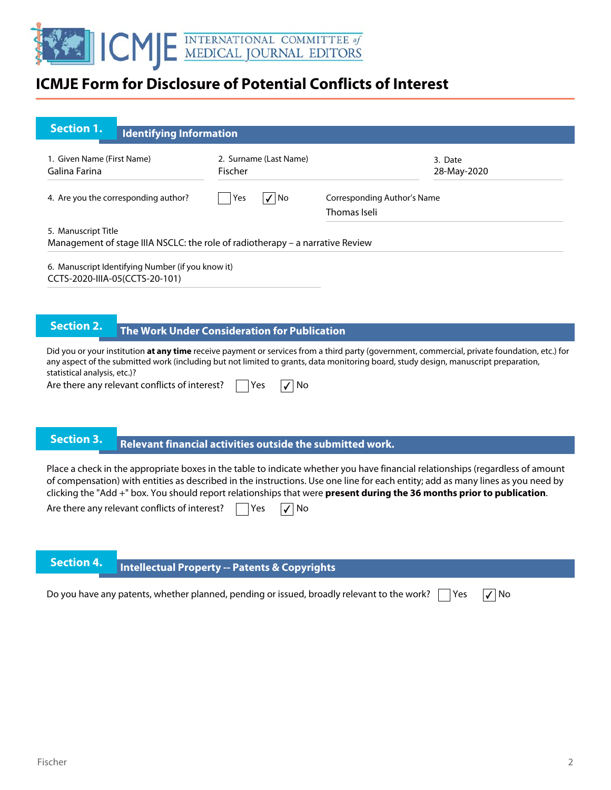

| <b>Section 1.</b><br><b>Identifying Information</b>                                                  |                                                           |                                                                                                                                                                                                                                                                                                                                                                                             |
|------------------------------------------------------------------------------------------------------|-----------------------------------------------------------|---------------------------------------------------------------------------------------------------------------------------------------------------------------------------------------------------------------------------------------------------------------------------------------------------------------------------------------------------------------------------------------------|
| 1. Given Name (First Name)<br>Galina Farina                                                          | 2. Surname (Last Name)<br>Fischer                         | 3. Date<br>28-May-2020                                                                                                                                                                                                                                                                                                                                                                      |
| 4. Are you the corresponding author?                                                                 | Yes<br>$\sqrt{ N}$                                        | <b>Corresponding Author's Name</b><br>Thomas Iseli                                                                                                                                                                                                                                                                                                                                          |
| 5. Manuscript Title<br>Management of stage IIIA NSCLC: the role of radiotherapy - a narrative Review |                                                           |                                                                                                                                                                                                                                                                                                                                                                                             |
| 6. Manuscript Identifying Number (if you know it)<br>CCTS-2020-IIIA-05(CCTS-20-101)                  |                                                           |                                                                                                                                                                                                                                                                                                                                                                                             |
| <b>Section 2.</b>                                                                                    | The Work Under Consideration for Publication              |                                                                                                                                                                                                                                                                                                                                                                                             |
| statistical analysis, etc.)?<br>Are there any relevant conflicts of interest?                        | Yes<br>No                                                 | Did you or your institution at any time receive payment or services from a third party (government, commercial, private foundation, etc.) for<br>any aspect of the submitted work (including but not limited to grants, data monitoring board, study design, manuscript preparation,                                                                                                        |
| <b>Section 3.</b>                                                                                    | Relevant financial activities outside the submitted work. |                                                                                                                                                                                                                                                                                                                                                                                             |
| Are there any relevant conflicts of interest?                                                        | Yes<br>No                                                 | Place a check in the appropriate boxes in the table to indicate whether you have financial relationships (regardless of amount<br>of compensation) with entities as described in the instructions. Use one line for each entity; add as many lines as you need by<br>clicking the "Add +" box. You should report relationships that were present during the 36 months prior to publication. |

**Intellectual Property -- Patents & Copyrights** 

Do you have any patents, whether planned, pending or issued, broadly relevant to the work?  $\Box$  Yes  $\Box$  No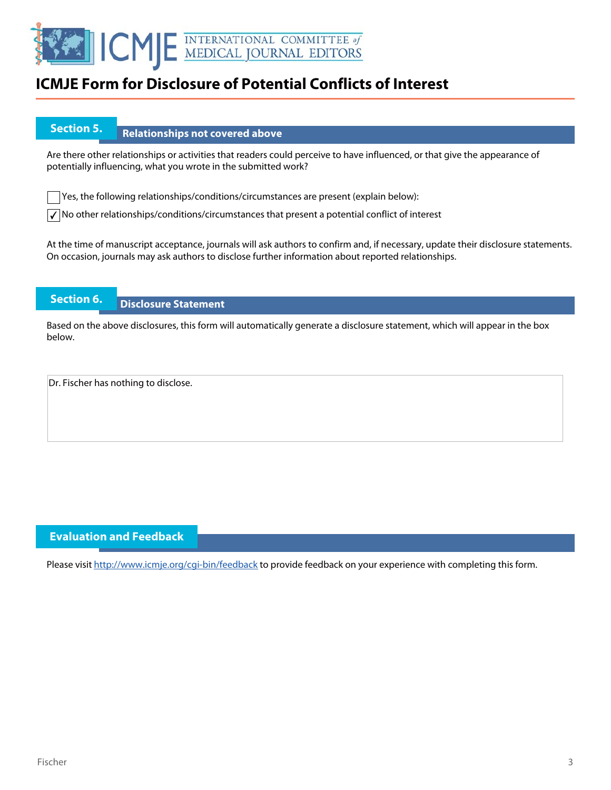

## **Section 5.** Relationships not covered above

Are there other relationships or activities that readers could perceive to have influenced, or that give the appearance of potentially influencing, what you wrote in the submitted work?

Yes, the following relationships/conditions/circumstances are present (explain below):

 $\sqrt{\ }$  No other relationships/conditions/circumstances that present a potential conflict of interest

At the time of manuscript acceptance, journals will ask authors to confirm and, if necessary, update their disclosure statements. On occasion, journals may ask authors to disclose further information about reported relationships.

### **Section 6. Disclosure Statement**

Based on the above disclosures, this form will automatically generate a disclosure statement, which will appear in the box below.

Dr. Fischer has nothing to disclose.

### **Evaluation and Feedback**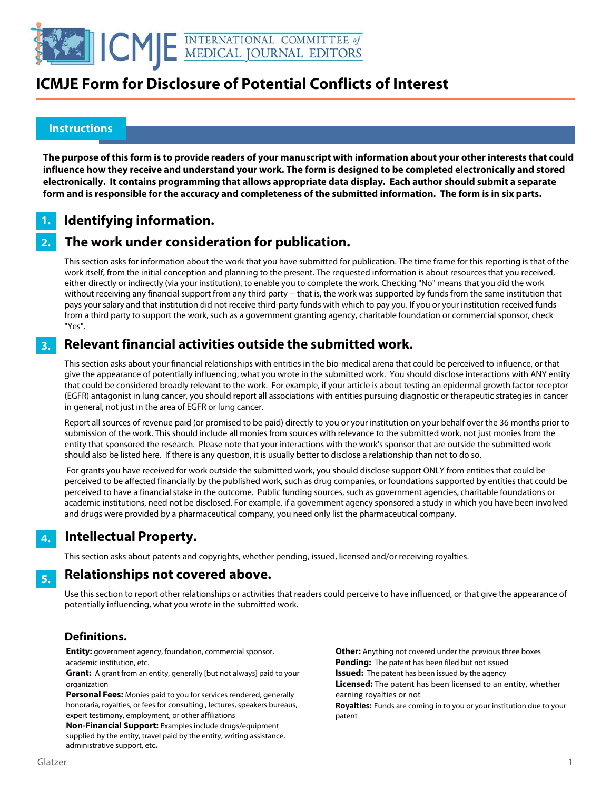

### **Instructions**

l

**The purpose of this form is to provide readers of your manuscript with information about your other interests that could influence how they receive and understand your work. The form is designed to be completed electronically and stored electronically. It contains programming that allows appropriate data display. Each author should submit a separate form and is responsible for the accuracy and completeness of the submitted information. The form is in six parts.** 

#### **Identifying information. 1.**

#### **The work under consideration for publication. 2.**

This section asks for information about the work that you have submitted for publication. The time frame for this reporting is that of the work itself, from the initial conception and planning to the present. The requested information is about resources that you received, either directly or indirectly (via your institution), to enable you to complete the work. Checking "No" means that you did the work without receiving any financial support from any third party -- that is, the work was supported by funds from the same institution that pays your salary and that institution did not receive third-party funds with which to pay you. If you or your institution received funds from a third party to support the work, such as a government granting agency, charitable foundation or commercial sponsor, check "Yes".

#### **Relevant financial activities outside the submitted work. 3.**

This section asks about your financial relationships with entities in the bio-medical arena that could be perceived to influence, or that give the appearance of potentially influencing, what you wrote in the submitted work. You should disclose interactions with ANY entity that could be considered broadly relevant to the work. For example, if your article is about testing an epidermal growth factor receptor (EGFR) antagonist in lung cancer, you should report all associations with entities pursuing diagnostic or therapeutic strategies in cancer in general, not just in the area of EGFR or lung cancer.

Report all sources of revenue paid (or promised to be paid) directly to you or your institution on your behalf over the 36 months prior to submission of the work. This should include all monies from sources with relevance to the submitted work, not just monies from the entity that sponsored the research. Please note that your interactions with the work's sponsor that are outside the submitted work should also be listed here. If there is any question, it is usually better to disclose a relationship than not to do so.

 For grants you have received for work outside the submitted work, you should disclose support ONLY from entities that could be perceived to be affected financially by the published work, such as drug companies, or foundations supported by entities that could be perceived to have a financial stake in the outcome. Public funding sources, such as government agencies, charitable foundations or academic institutions, need not be disclosed. For example, if a government agency sponsored a study in which you have been involved and drugs were provided by a pharmaceutical company, you need only list the pharmaceutical company.

#### **Intellectual Property. 4.**

This section asks about patents and copyrights, whether pending, issued, licensed and/or receiving royalties.

#### **Relationships not covered above. 5.**

Use this section to report other relationships or activities that readers could perceive to have influenced, or that give the appearance of potentially influencing, what you wrote in the submitted work.

### **Definitions.**

**Entity:** government agency, foundation, commercial sponsor, academic institution, etc.

**Grant:** A grant from an entity, generally [but not always] paid to your organization

**Personal Fees:** Monies paid to you for services rendered, generally honoraria, royalties, or fees for consulting , lectures, speakers bureaus, expert testimony, employment, or other affiliations

**Non-Financial Support:** Examples include drugs/equipment supplied by the entity, travel paid by the entity, writing assistance, administrative support, etc**.**

**Other:** Anything not covered under the previous three boxes **Pending:** The patent has been filed but not issued **Issued:** The patent has been issued by the agency **Licensed:** The patent has been licensed to an entity, whether earning royalties or not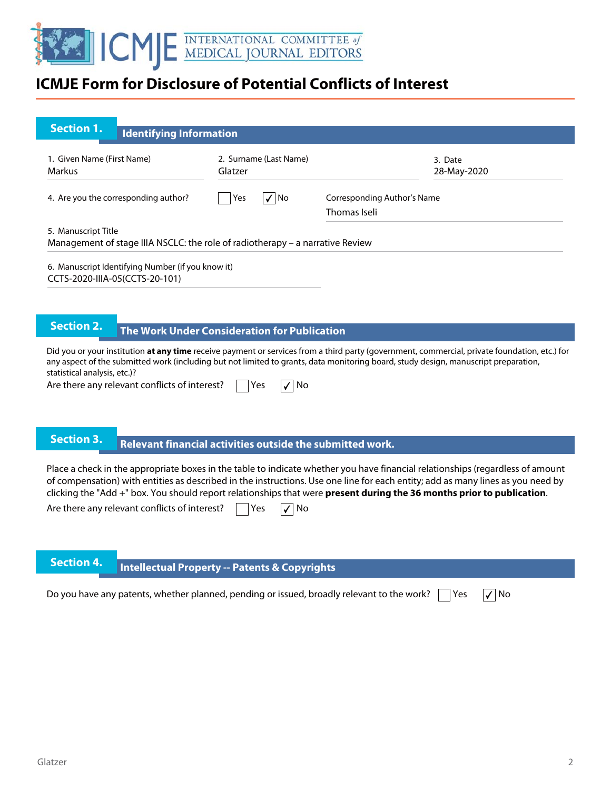

| <b>Section 1.</b><br><b>Identifying Information</b>                                                                                                                                                                                                                                                                                                                                                                                          |                                                           |                                             |                        |
|----------------------------------------------------------------------------------------------------------------------------------------------------------------------------------------------------------------------------------------------------------------------------------------------------------------------------------------------------------------------------------------------------------------------------------------------|-----------------------------------------------------------|---------------------------------------------|------------------------|
| 1. Given Name (First Name)<br>Markus                                                                                                                                                                                                                                                                                                                                                                                                         | 2. Surname (Last Name)<br>Glatzer                         |                                             | 3. Date<br>28-May-2020 |
| 4. Are you the corresponding author?                                                                                                                                                                                                                                                                                                                                                                                                         | $\sqrt{ N_{0}}$<br>Yes                                    | Corresponding Author's Name<br>Thomas Iseli |                        |
| 5. Manuscript Title<br>Management of stage IIIA NSCLC: the role of radiotherapy – a narrative Review                                                                                                                                                                                                                                                                                                                                         |                                                           |                                             |                        |
| 6. Manuscript Identifying Number (if you know it)<br>CCTS-2020-IIIA-05(CCTS-20-101)                                                                                                                                                                                                                                                                                                                                                          |                                                           |                                             |                        |
|                                                                                                                                                                                                                                                                                                                                                                                                                                              |                                                           |                                             |                        |
| <b>Section 2.</b>                                                                                                                                                                                                                                                                                                                                                                                                                            | The Work Under Consideration for Publication              |                                             |                        |
| Did you or your institution at any time receive payment or services from a third party (government, commercial, private foundation, etc.) for<br>any aspect of the submitted work (including but not limited to grants, data monitoring board, study design, manuscript preparation,<br>statistical analysis, etc.)?                                                                                                                         |                                                           |                                             |                        |
| Are there any relevant conflicts of interest?                                                                                                                                                                                                                                                                                                                                                                                                | Yes<br>$\sqrt{ }$ No                                      |                                             |                        |
|                                                                                                                                                                                                                                                                                                                                                                                                                                              |                                                           |                                             |                        |
| <b>Section 3.</b>                                                                                                                                                                                                                                                                                                                                                                                                                            | Relevant financial activities outside the submitted work. |                                             |                        |
| Place a check in the appropriate boxes in the table to indicate whether you have financial relationships (regardless of amount<br>of compensation) with entities as described in the instructions. Use one line for each entity; add as many lines as you need by<br>clicking the "Add +" box. You should report relationships that were present during the 36 months prior to publication.<br>Are there any relevant conflicts of interest? | Yes<br>No                                                 |                                             |                        |

# **Intellectual Property -- Patents & Copyrights**

| Do you have any patents, whether planned, pending or issued, broadly relevant to the work? $\Box$ Yes $\Box$ No |  |
|-----------------------------------------------------------------------------------------------------------------|--|
|                                                                                                                 |  |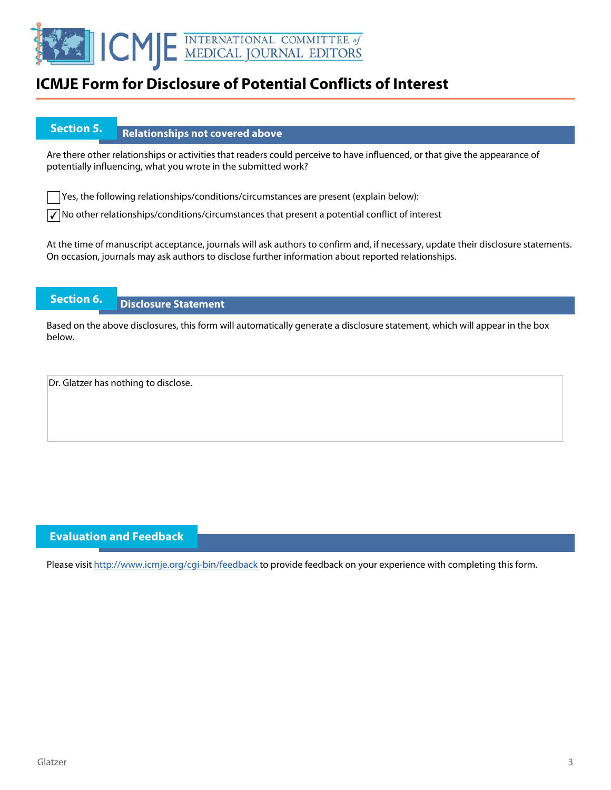

## **Section 5.** Relationships not covered above

Are there other relationships or activities that readers could perceive to have influenced, or that give the appearance of potentially influencing, what you wrote in the submitted work?

Yes, the following relationships/conditions/circumstances are present (explain below):

 $\sqrt{\ }$  No other relationships/conditions/circumstances that present a potential conflict of interest

At the time of manuscript acceptance, journals will ask authors to confirm and, if necessary, update their disclosure statements. On occasion, journals may ask authors to disclose further information about reported relationships.

### **Section 6. Disclosure Statement**

Based on the above disclosures, this form will automatically generate a disclosure statement, which will appear in the box below.

Dr. Glatzer has nothing to disclose.

### **Evaluation and Feedback**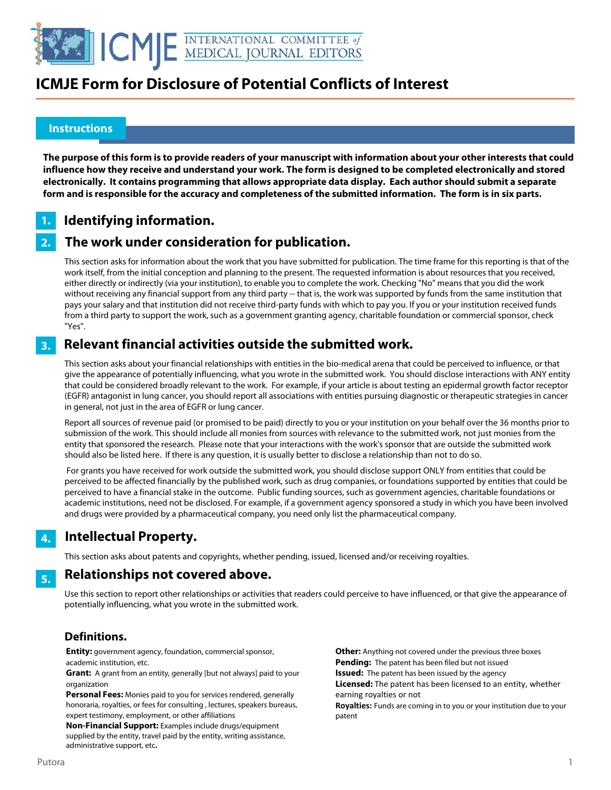

### **Instructions**

l

**The purpose of this form is to provide readers of your manuscript with information about your other interests that could influence how they receive and understand your work. The form is designed to be completed electronically and stored electronically. It contains programming that allows appropriate data display. Each author should submit a separate form and is responsible for the accuracy and completeness of the submitted information. The form is in six parts.** 

#### **Identifying information. 1.**

#### **The work under consideration for publication. 2.**

This section asks for information about the work that you have submitted for publication. The time frame for this reporting is that of the work itself, from the initial conception and planning to the present. The requested information is about resources that you received, either directly or indirectly (via your institution), to enable you to complete the work. Checking "No" means that you did the work without receiving any financial support from any third party -- that is, the work was supported by funds from the same institution that pays your salary and that institution did not receive third-party funds with which to pay you. If you or your institution received funds from a third party to support the work, such as a government granting agency, charitable foundation or commercial sponsor, check "Yes".

#### **Relevant financial activities outside the submitted work. 3.**

This section asks about your financial relationships with entities in the bio-medical arena that could be perceived to influence, or that give the appearance of potentially influencing, what you wrote in the submitted work. You should disclose interactions with ANY entity that could be considered broadly relevant to the work. For example, if your article is about testing an epidermal growth factor receptor (EGFR) antagonist in lung cancer, you should report all associations with entities pursuing diagnostic or therapeutic strategies in cancer in general, not just in the area of EGFR or lung cancer.

Report all sources of revenue paid (or promised to be paid) directly to you or your institution on your behalf over the 36 months prior to submission of the work. This should include all monies from sources with relevance to the submitted work, not just monies from the entity that sponsored the research. Please note that your interactions with the work's sponsor that are outside the submitted work should also be listed here. If there is any question, it is usually better to disclose a relationship than not to do so.

 For grants you have received for work outside the submitted work, you should disclose support ONLY from entities that could be perceived to be affected financially by the published work, such as drug companies, or foundations supported by entities that could be perceived to have a financial stake in the outcome. Public funding sources, such as government agencies, charitable foundations or academic institutions, need not be disclosed. For example, if a government agency sponsored a study in which you have been involved and drugs were provided by a pharmaceutical company, you need only list the pharmaceutical company.

#### **Intellectual Property. 4.**

This section asks about patents and copyrights, whether pending, issued, licensed and/or receiving royalties.

#### **Relationships not covered above. 5.**

Use this section to report other relationships or activities that readers could perceive to have influenced, or that give the appearance of potentially influencing, what you wrote in the submitted work.

### **Definitions.**

**Entity:** government agency, foundation, commercial sponsor, academic institution, etc.

**Grant:** A grant from an entity, generally [but not always] paid to your organization

**Personal Fees:** Monies paid to you for services rendered, generally honoraria, royalties, or fees for consulting , lectures, speakers bureaus, expert testimony, employment, or other affiliations

**Non-Financial Support:** Examples include drugs/equipment supplied by the entity, travel paid by the entity, writing assistance, administrative support, etc**.**

**Other:** Anything not covered under the previous three boxes **Pending:** The patent has been filed but not issued **Issued:** The patent has been issued by the agency **Licensed:** The patent has been licensed to an entity, whether earning royalties or not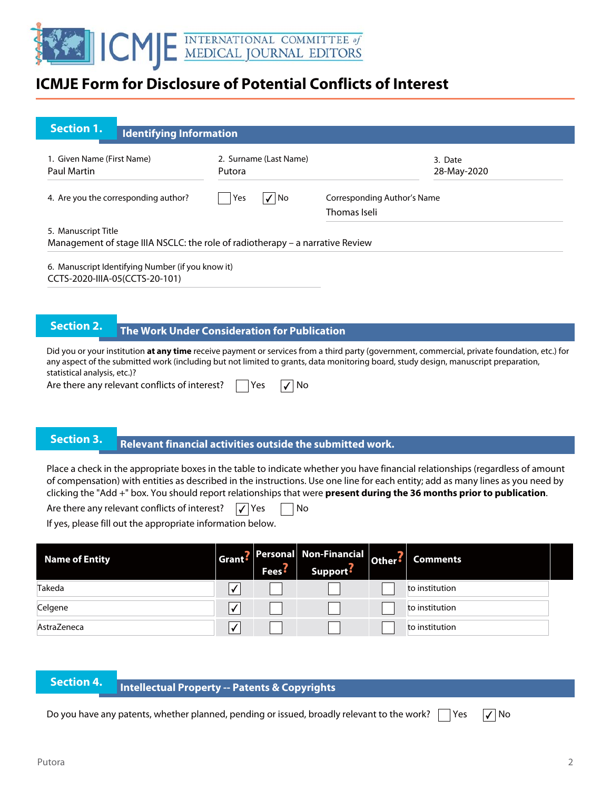

| Section 1.                                       | <b>Identifying Information</b>                    |                                                                               |                                             |
|--------------------------------------------------|---------------------------------------------------|-------------------------------------------------------------------------------|---------------------------------------------|
| 1. Given Name (First Name)<br><b>Paul Martin</b> |                                                   | 2. Surname (Last Name)<br>Putora                                              | 3. Date<br>28-May-2020                      |
| 4. Are you the corresponding author?             |                                                   | $\checkmark$<br>  No<br>Yes                                                   | Corresponding Author's Name<br>Thomas Iseli |
| 5. Manuscript Title                              |                                                   | Management of stage IIIA NSCLC: the role of radiotherapy – a narrative Review |                                             |
| CCTS-2020-IIIA-05(CCTS-20-101)                   | 6. Manuscript Identifying Number (if you know it) |                                                                               |                                             |

## **The Work Under Consideration for Publication**

Did you or your institution **at any time** receive payment or services from a third party (government, commercial, private foundation, etc.) for any aspect of the submitted work (including but not limited to grants, data monitoring board, study design, manuscript preparation, statistical analysis, etc.)?

Are there any relevant conflicts of interest?  $\Box$  Yes

|  | ×<br>۰. |
|--|---------|
|--|---------|

## **Relevant financial activities outside the submitted work. Section 3. Relevant financial activities outset**

Place a check in the appropriate boxes in the table to indicate whether you have financial relationships (regardless of amount of compensation) with entities as described in the instructions. Use one line for each entity; add as many lines as you need by clicking the "Add +" box. You should report relationships that were **present during the 36 months prior to publication**.

Are there any relevant conflicts of interest?  $\sqrt{\ }$  Yes  $\Box$  No

If yes, please fill out the appropriate information below.

| <b>Name of Entity</b> | Fees <sup>5</sup> | Grant? Personal Non-Financial Other?<br>Support? | <b>Comments</b> |  |
|-----------------------|-------------------|--------------------------------------------------|-----------------|--|
| Takeda                |                   |                                                  | to institution  |  |
| Celgene               |                   |                                                  | to institution  |  |
| AstraZeneca           |                   |                                                  | to institution  |  |

| <b>Section 4</b> |  |  |
|------------------|--|--|
|                  |  |  |
|                  |  |  |

### **Intellectual Property -- Patents & Copyrights**

Do you have any patents, whether planned, pending or issued, broadly relevant to the work?  $\Box$  Yes  $\Box$  No